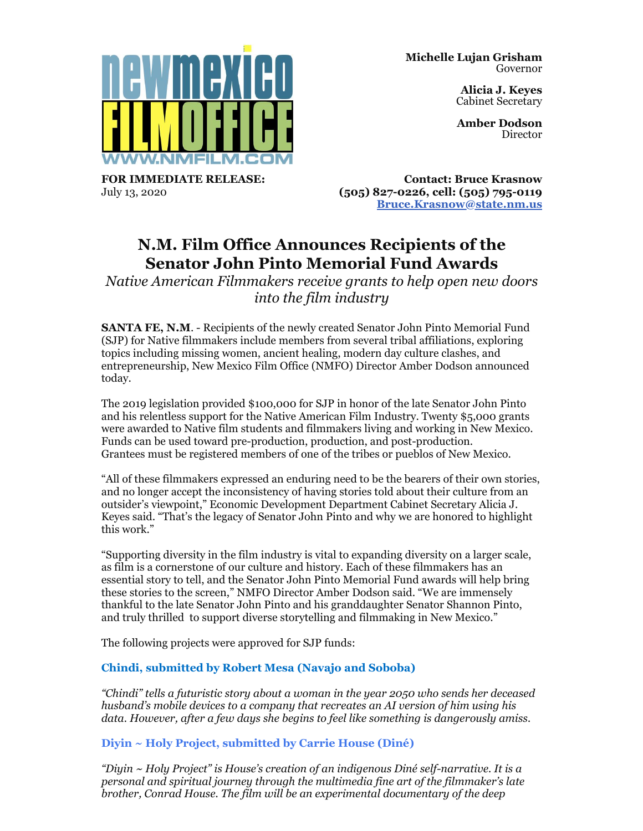

**Alicia J. Keyes** Cabinet Secretary

**Amber Dodson** Director

**FOR IMMEDIATE RELEASE:** July 13, 2020

**Contact: Bruce Krasnow (505) 827-0226, cell: (505) 795-0119 [Bruce.Krasnow@state.nm.us](mailto:Bruce.Krasnow@state.nm.us)**

# **N.M. Film Office Announces Recipients of the Senator John Pinto Memorial Fund Awards**

*Native American Filmmakers receive grants to help open new doors into the film industry*

**SANTA FE, N.M**. - Recipients of the newly created Senator John Pinto Memorial Fund (SJP) for Native filmmakers include members from several tribal affiliations, exploring topics including missing women, ancient healing, modern day culture clashes, and entrepreneurship, New Mexico Film Office (NMFO) Director Amber Dodson announced today.

The 2019 legislation provided \$100,000 for SJP in honor of the late Senator John Pinto and his relentless support for the Native American Film Industry. Twenty \$5,000 grants were awarded to Native film students and filmmakers living and working in New Mexico. Funds can be used toward pre-production, production, and post-production. Grantees must be registered members of one of the tribes or pueblos of New Mexico.

"All of these filmmakers expressed an enduring need to be the bearers of their own stories, and no longer accept the inconsistency of having stories told about their culture from an outsider's viewpoint," Economic Development Department Cabinet Secretary Alicia J. Keyes said. "That's the legacy of Senator John Pinto and why we are honored to highlight this work."

"Supporting diversity in the film industry is vital to expanding diversity on a larger scale, as film is a cornerstone of our culture and history. Each of these filmmakers has an essential story to tell, and the Senator John Pinto Memorial Fund awards will help bring these stories to the screen," NMFO Director Amber Dodson said. "We are immensely thankful to the late Senator John Pinto and his granddaughter Senator Shannon Pinto, and truly thrilled to support diverse storytelling and filmmaking in New Mexico."

The following projects were approved for SJP funds:

# **Chindi, submitted by Robert Mesa (Navajo and Soboba)**

*"Chindi" tells a futuristic story about a woman in the year 2050 who sends her deceased husband's mobile devices to a company that recreates an AI version of him using his data. However, after a few days she begins to feel like something is dangerously amiss.*

**Diyin ~ Holy Project, submitted by Carrie House (Diné)**

*"Diyin ~ Holy Project" is House's creation of an indigenous Diné self-narrative. It is a personal and spiritual journey through the multimedia fine art of the filmmaker's late brother, Conrad House. The film will be an experimental documentary of the deep*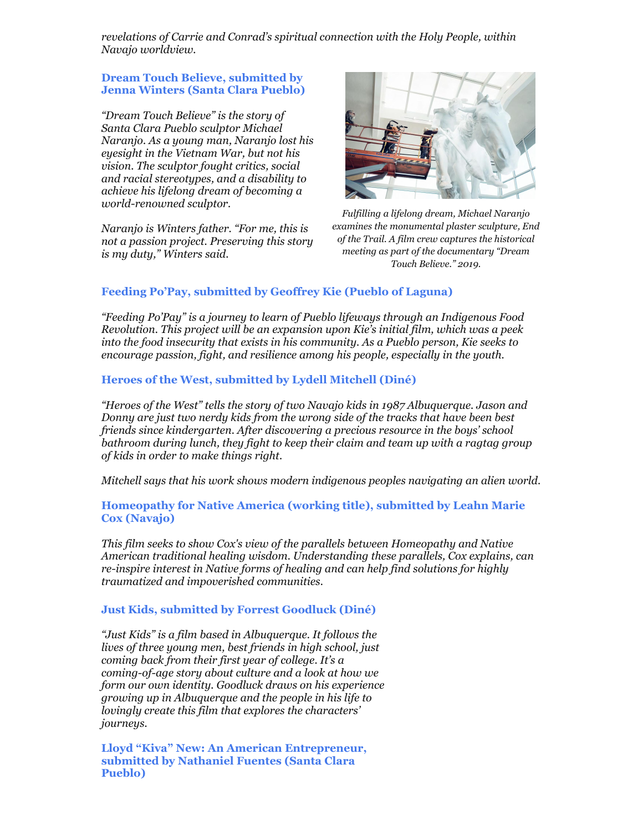*revelations of Carrie and Conrad's spiritual connection with the Holy People, within Navajo worldview.*

#### **Dream Touch Believe, submitted by Jenna Winters (Santa Clara Pueblo)**

*"Dream Touch Believe" is the story of Santa Clara Pueblo sculptor Michael Naranjo. As a young man, Naranjo lost his eyesight in the Vietnam War, but not his vision. The sculptor fought critics, social and racial stereotypes, and a disability to achieve his lifelong dream of becoming a world-renowned sculptor.*

*Naranjo is Winters father. "For me, this is not a passion project. Preserving this story is my duty," Winters said.*



*Fulfilling a lifelong dream, Michael Naranjo examines the monumental plaster sculpture, End of the Trail. A film crew captures the historical meeting as part of the documentary "Dream Touch Believe." 2019.*

## **Feeding Po'Pay, submitted by Geoffrey Kie (Pueblo of Laguna)**

*"Feeding Po'Pay" is a journey to learn of Pueblo lifeways through an Indigenous Food Revolution. This project will be an expansion upon Kie's initial film, which was a peek into the food insecurity that exists in his community. As a Pueblo person, Kie seeks to encourage passion, fight, and resilience among his people, especially in the youth.*

## **Heroes of the West, submitted by Lydell Mitchell (Diné)**

*"Heroes of the West" tells the story of two Navajo kids in 1987 Albuquerque. Jason and Donny are just two nerdy kids from the wrong side of the tracks that have been best friends since kindergarten. After discovering a precious resource in the boys' school bathroom during lunch, they fight to keep their claim and team up with a ragtag group of kids in order to make things right.*

*Mitchell says that his work shows modern indigenous peoples navigating an alien world.*

#### **Homeopathy for Native America (working title), submitted by Leahn Marie Cox (Navajo)**

*This film seeks to show Cox's view of the parallels between Homeopathy and Native American traditional healing wisdom. Understanding these parallels, Cox explains, can re-inspire interest in Native forms of healing and can help find solutions for highly traumatized and impoverished communities.*

#### **Just Kids, submitted by Forrest Goodluck (Diné)**

*"Just Kids" is a film based in Albuquerque. It follows the lives of three young men, best friends in high school, just coming back from their first year of college. It's a coming-of-age story about culture and a look at how we form our own identity. Goodluck draws on his experience growing up in Albuquerque and the people in his life to lovingly create this film that explores the characters' journeys.*

**Lloyd "Kiva" New: An American Entrepreneur, submitted by Nathaniel Fuentes (Santa Clara Pueblo)**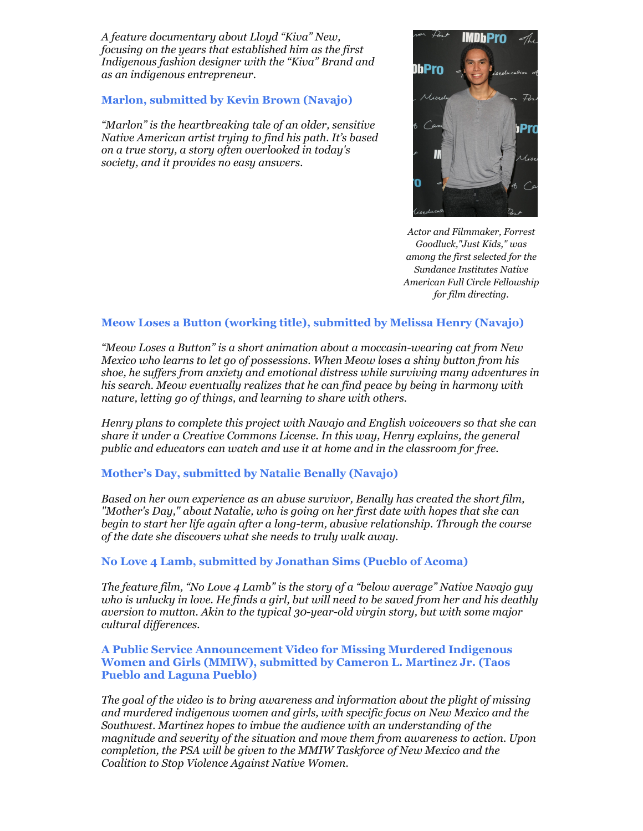*A feature documentary about Lloyd "Kiva" New, focusing on the years that established him as the first Indigenous fashion designer with the "Kiva" Brand and as an indigenous entrepreneur.*

#### **Marlon, submitted by Kevin Brown (Navajo)**

*"Marlon" is the heartbreaking tale of an older, sensitive Native American artist trying to find his path. It's based on a true story, a story often overlooked in today's society, and it provides no easy answers.*



*Actor and Filmmaker, Forrest Goodluck,"Just Kids," was among the first selected for the Sundance Institutes Native American Full Circle Fellowship for film directing.*

## **Meow Loses a Button (working title), submitted by Melissa Henry (Navajo)**

*"Meow Loses a Button" is a short animation about a moccasin-wearing cat from New Mexico who learns to let go of possessions. When Meow loses a shiny button from his shoe, he suffers from anxiety and emotional distress while surviving many adventures in his search. Meow eventually realizes that he can find peace by being in harmony with nature, letting go of things, and learning to share with others.*

*Henry plans to complete this project with Navajo and English voiceovers so that she can share it under a Creative Commons License. In this way, Henry explains, the general public and educators can watch and use it at home and in the classroom for free.*

## **Mother's Day, submitted by Natalie Benally (Navajo)**

*Based on her own experience as an abuse survivor, Benally has created the short film, "Mother's Day," about Natalie, who is going on her first date with hopes that she can begin to start her life again after a long-term, abusive relationship. Through the course of the date she discovers what she needs to truly walk away.*

## **No Love 4 Lamb, submitted by Jonathan Sims (Pueblo of Acoma)**

*The feature film, "No Love 4 Lamb" is the story of a "below average" Native Navajo guy who is unlucky in love. He finds a girl, but will need to be saved from her and his deathly aversion to mutton. Akin to the typical 30-year-old virgin story, but with some major cultural differences.*

#### **A Public Service Announcement Video for Missing Murdered Indigenous Women and Girls (MMIW), submitted by Cameron L. Martinez Jr. (Taos Pueblo and Laguna Pueblo)**

*The goal of the video is to bring awareness and information about the plight of missing and murdered indigenous women and girls, with specific focus on New Mexico and the Southwest. Martinez hopes to imbue the audience with an understanding of the magnitude and severity of the situation and move them from awareness to action. Upon completion, the PSA will be given to the MMIW Taskforce of New Mexico and the Coalition to Stop Violence Against Native Women.*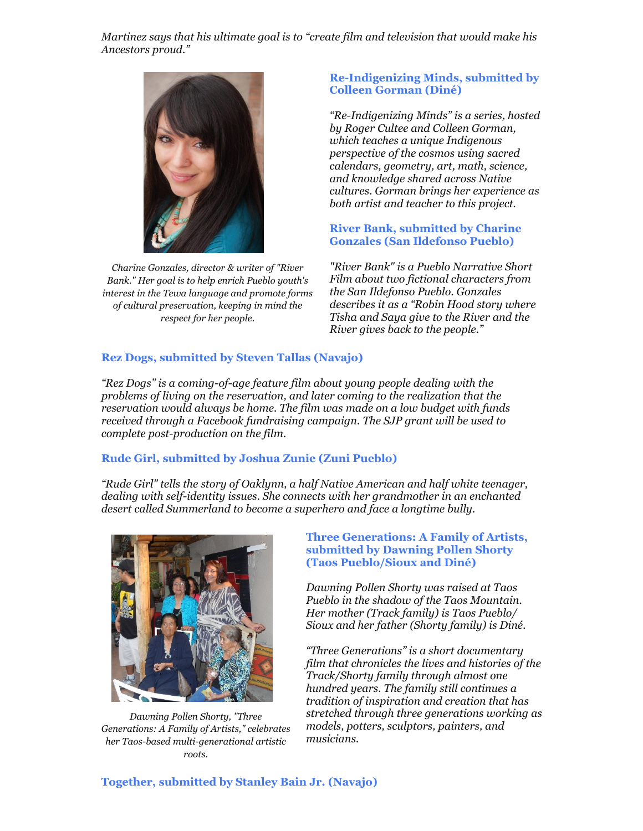*Martinez says that his ultimate goal is to "create film and television that would make his Ancestors proud."*



*Charine Gonzales, director & writer of "River Bank." Her goal is to help enrich Pueblo youth's interest in the Tewa language and promote forms of cultural preservation, keeping in mind the respect for her people.*

# **Re-Indigenizing Minds, submitted by Colleen Gorman (Diné)**

*"Re-Indigenizing Minds" is a series, hosted by Roger Cultee and Colleen Gorman, which teaches a unique Indigenous perspective of the cosmos using sacred calendars, geometry, art, math, science, and knowledge shared across Native cultures. Gorman brings her experience as both artist and teacher to this project.*

# **River Bank, submitted by Charine Gonzales (San Ildefonso Pueblo)**

*"River Bank" is a Pueblo Narrative Short Film about two fictional characters from the San Ildefonso Pueblo. Gonzales describes it as a "Robin Hood story where Tisha and Saya give to the River and the River gives back to the people."*

# **Rez Dogs, submitted by Steven Tallas (Navajo)**

*"Rez Dogs" is a coming-of-age feature film about young people dealing with the problems of living on the reservation, and later coming to the realization that the reservation would always be home. The film was made on a low budget with funds received through a Facebook fundraising campaign. The SJP grant will be used to complete post-production on the film.*

## **Rude Girl, submitted by Joshua Zunie (Zuni Pueblo)**

*"Rude Girl" tells the story of Oaklynn, a half Native American and half white teenager, dealing with self-identity issues. She connects with her grandmother in an enchanted desert called Summerland to become a superhero and face a longtime bully.*



*Dawning Pollen Shorty, "Three Generations: A Family of Artists," celebrates her Taos-based multi-generational artistic roots.*

**Three Generations: A Family of Artists, submitted by Dawning Pollen Shorty (Taos Pueblo/Sioux and Diné)**

*Dawning Pollen Shorty was raised at Taos Pueblo in the shadow of the Taos Mountain. Her mother (Track family) is Taos Pueblo/ Sioux and her father (Shorty family) is Diné.* 

*"Three Generations" is a short documentary film that chronicles the lives and histories of the Track/Shorty family through almost one hundred years. The family still continues a tradition of inspiration and creation that has stretched through three generations working as models, potters, sculptors, painters, and musicians.*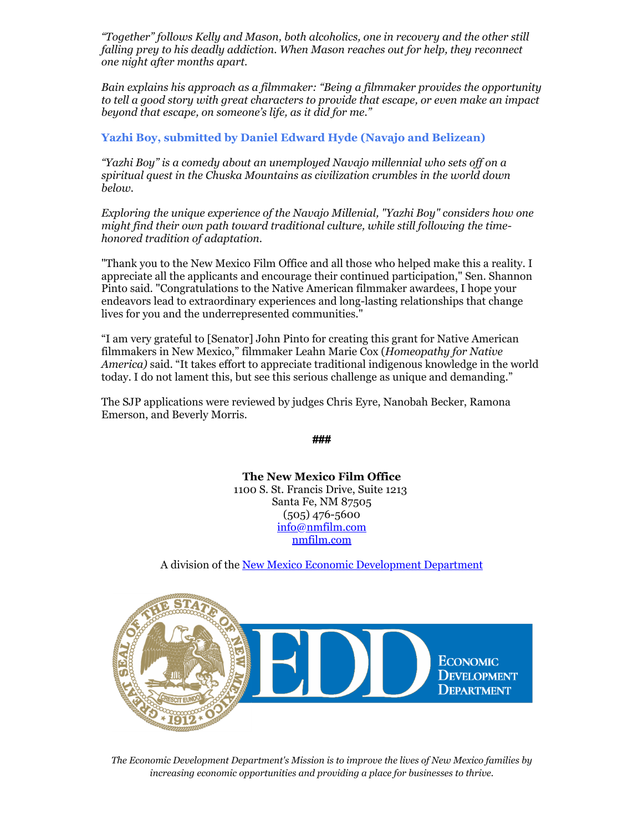*"Together" follows Kelly and Mason, both alcoholics, one in recovery and the other still falling prey to his deadly addiction. When Mason reaches out for help, they reconnect one night after months apart.*

*Bain explains his approach as a filmmaker: "Being a filmmaker provides the opportunity to tell a good story with great characters to provide that escape, or even make an impact beyond that escape, on someone's life, as it did for me."*

**Yazhi Boy, submitted by Daniel Edward Hyde (Navajo and Belizean)**

*"Yazhi Boy" is a comedy about an unemployed Navajo millennial who sets off on a spiritual quest in the Chuska Mountains as civilization crumbles in the world down below.*

*Exploring the unique experience of the Navajo Millenial, "Yazhi Boy" considers how one might find their own path toward traditional culture, while still following the timehonored tradition of adaptation.*

"Thank you to the New Mexico Film Office and all those who helped make this a reality. I appreciate all the applicants and encourage their continued participation," Sen. Shannon Pinto said. "Congratulations to the Native American filmmaker awardees, I hope your endeavors lead to extraordinary experiences and long-lasting relationships that change lives for you and the underrepresented communities."

"I am very grateful to [Senator] John Pinto for creating this grant for Native American filmmakers in New Mexico," filmmaker Leahn Marie Cox (*Homeopathy for Native America)* said. "It takes effort to appreciate traditional indigenous knowledge in the world today. I do not lament this, but see this serious challenge as unique and demanding."

The SJP applications were reviewed by judges Chris Eyre, Nanobah Becker, Ramona Emerson, and Beverly Morris.

**###**

**The New Mexico Film Office** 1100 S. St. Francis Drive, Suite 1213 Santa Fe, NM 87505 (505) 476-5600 [info@nmfilm.com](mailto:info@nmfilm.com) [nmfilm.com](http://www.nmfilm.com/)

A division of the [New Mexico Economic Development Department](https://gonm.biz/)



*The Economic Development Department's Mission is to improve the lives of New Mexico families by increasing economic opportunities and providing a place for businesses to thrive.*